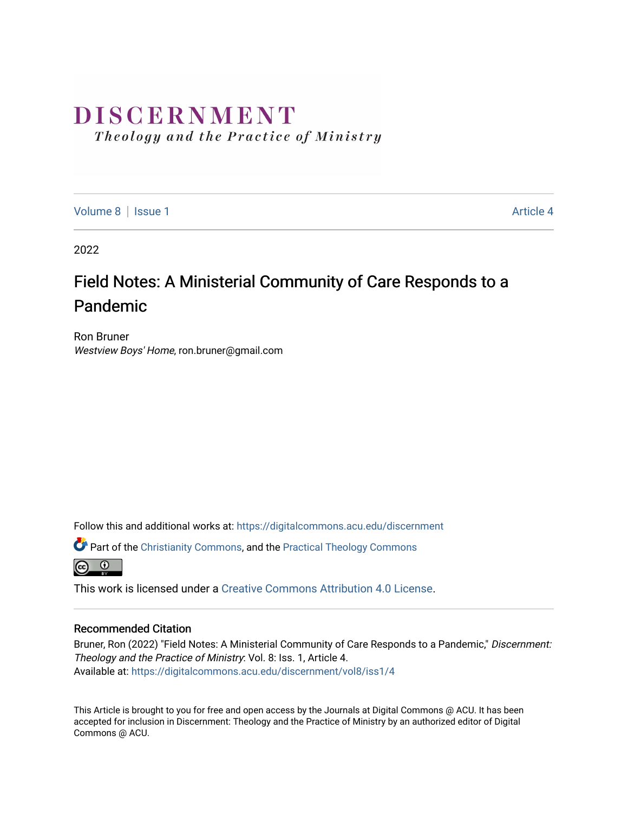# DISCERNMENT

Theology and the Practice of Ministry

[Volume 8](https://digitalcommons.acu.edu/discernment/vol8) | [Issue 1](https://digitalcommons.acu.edu/discernment/vol8/iss1) Article 4

2022

## Field Notes: A Ministerial Community of Care Responds to a Pandemic

Ron Bruner Westview Boys' Home, ron.bruner@gmail.com

Follow this and additional works at: [https://digitalcommons.acu.edu/discernment](https://digitalcommons.acu.edu/discernment?utm_source=digitalcommons.acu.edu%2Fdiscernment%2Fvol8%2Fiss1%2F4&utm_medium=PDF&utm_campaign=PDFCoverPages) 

Part of the [Christianity Commons,](https://network.bepress.com/hgg/discipline/1181?utm_source=digitalcommons.acu.edu%2Fdiscernment%2Fvol8%2Fiss1%2F4&utm_medium=PDF&utm_campaign=PDFCoverPages) and the [Practical Theology Commons](https://network.bepress.com/hgg/discipline/1186?utm_source=digitalcommons.acu.edu%2Fdiscernment%2Fvol8%2Fiss1%2F4&utm_medium=PDF&utm_campaign=PDFCoverPages) 



This work is licensed under a [Creative Commons Attribution 4.0 License](https://creativecommons.org/licenses/by/4.0/).

#### Recommended Citation

Bruner, Ron (2022) "Field Notes: A Ministerial Community of Care Responds to a Pandemic," Discernment: Theology and the Practice of Ministry: Vol. 8: Iss. 1, Article 4. Available at: [https://digitalcommons.acu.edu/discernment/vol8/iss1/4](https://digitalcommons.acu.edu/discernment/vol8/iss1/4?utm_source=digitalcommons.acu.edu%2Fdiscernment%2Fvol8%2Fiss1%2F4&utm_medium=PDF&utm_campaign=PDFCoverPages) 

This Article is brought to you for free and open access by the Journals at Digital Commons @ ACU. It has been accepted for inclusion in Discernment: Theology and the Practice of Ministry by an authorized editor of Digital Commons @ ACU.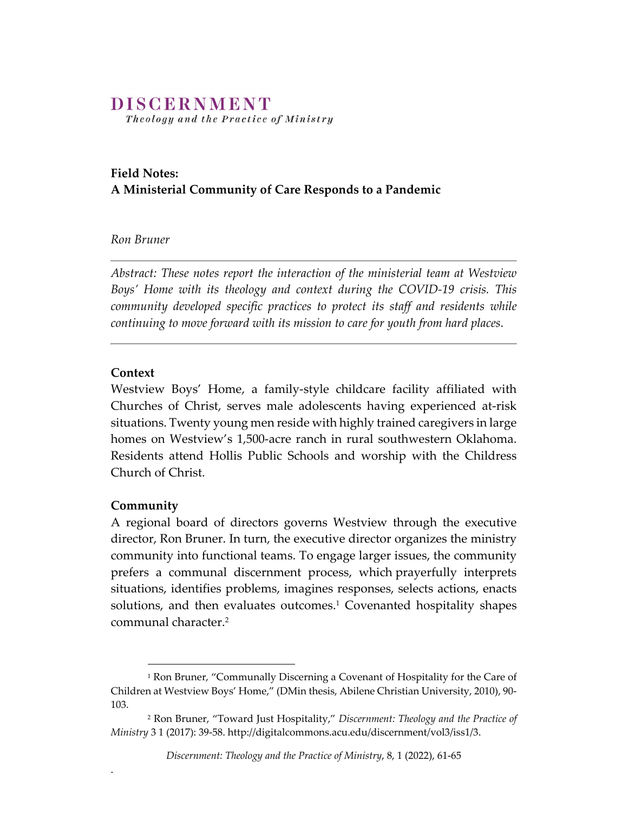## DISCERNMENT

Theology and the Practice of Ministry

### **Field Notes: A Ministerial Community of Care Responds to a Pandemic**

#### *Ron Bruner*

*Abstract: These notes report the interaction of the ministerial team at Westview Boys' Home with its theology and context during the COVID‐19 crisis. This community developed specific practices to protect its staff and residents while continuing to move forward with its mission to care for youth from hard places.*

#### **Context**

Westview Boys' Home, a family‐style childcare facility affiliated with Churches of Christ, serves male adolescents having experienced at‐risk situations. Twenty young men reside with highly trained caregivers in large homes on Westview's 1,500-acre ranch in rural southwestern Oklahoma. Residents attend Hollis Public Schools and worship with the Childress Church of Christ.

#### **Community**

.

A regional board of directors governs Westview through the executive director, Ron Bruner. In turn, the executive director organizes the ministry community into functional teams. To engage larger issues, the community prefers a communal discernment process, which prayerfully interprets situations, identifies problems, imagines responses, selects actions, enacts solutions, and then evaluates outcomes.<sup>1</sup> Covenanted hospitality shapes communal character.2

<sup>&</sup>lt;sup>1</sup> Ron Bruner, "Communally Discerning a Covenant of Hospitality for the Care of Children at Westview Boys' Home," (DMin thesis, Abilene Christian University, 2010), 90‐ 103.

<sup>2</sup> Ron Bruner, "Toward Just Hospitality," *Discernment: Theology and the Practice of Ministry* 3 1 (2017): 39‐58. http://digitalcommons.acu.edu/discernment/vol3/iss1/3.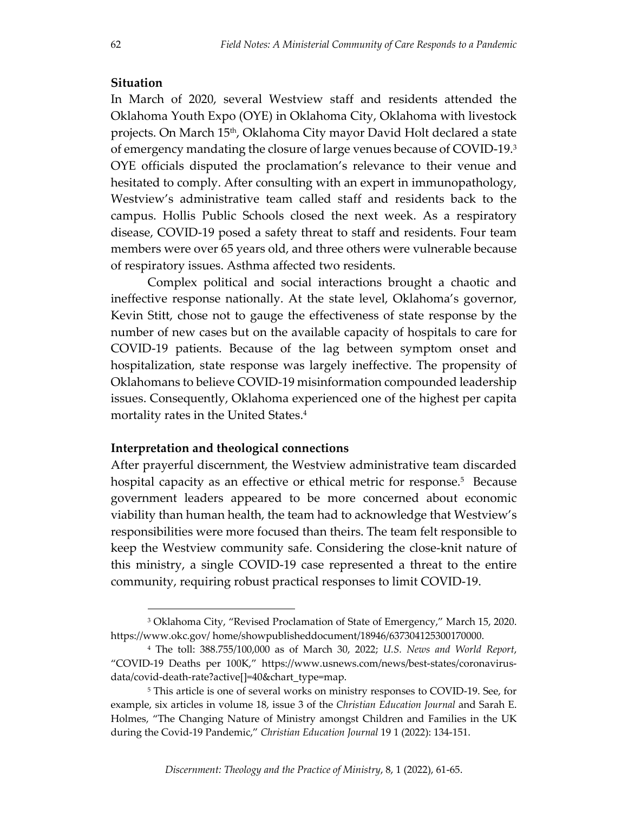#### **Situation**

In March of 2020, several Westview staff and residents attended the Oklahoma Youth Expo (OYE) in Oklahoma City, Oklahoma with livestock projects. On March 15<sup>th</sup>, Oklahoma City mayor David Holt declared a state of emergency mandating the closure of large venues because of COVID‐19.3 OYE officials disputed the proclamation's relevance to their venue and hesitated to comply. After consulting with an expert in immunopathology, Westview's administrative team called staff and residents back to the campus. Hollis Public Schools closed the next week. As a respiratory disease, COVID‐19 posed a safety threat to staff and residents. Four team members were over 65 years old, and three others were vulnerable because of respiratory issues. Asthma affected two residents.

Complex political and social interactions brought a chaotic and ineffective response nationally. At the state level, Oklahoma's governor, Kevin Stitt, chose not to gauge the effectiveness of state response by the number of new cases but on the available capacity of hospitals to care for COVID‐19 patients. Because of the lag between symptom onset and hospitalization, state response was largely ineffective. The propensity of Oklahomans to believe COVID‐19 misinformation compounded leadership issues. Consequently, Oklahoma experienced one of the highest per capita mortality rates in the United States.<sup>4</sup>

#### **Interpretation and theological connections**

After prayerful discernment, the Westview administrative team discarded hospital capacity as an effective or ethical metric for response.<sup>5</sup> Because government leaders appeared to be more concerned about economic viability than human health, the team had to acknowledge that Westview's responsibilities were more focused than theirs. The team felt responsible to keep the Westview community safe. Considering the close-knit nature of this ministry, a single COVID‐19 case represented a threat to the entire community, requiring robust practical responses to limit COVID‐19.

<sup>3</sup> Oklahoma City, "Revised Proclamation of State of Emergency," March 15, 2020. https://www.okc.gov/ home/showpublisheddocument/18946/637304125300170000.

<sup>4</sup> The toll: 388.755/100,000 as of March 30, 2022; *U.S. News and World Report*, "COVID‐19 Deaths per 100K," https://www.usnews.com/news/best‐states/coronavirus‐ data/covid‐death‐rate?active[]=40&chart\_type=map.

<sup>&</sup>lt;sup>5</sup> This article is one of several works on ministry responses to COVID-19. See, for example, six articles in volume 18, issue 3 of the *Christian Education Journal* and Sarah E. Holmes, "The Changing Nature of Ministry amongst Children and Families in the UK during the Covid‐19 Pandemic," *Christian Education Journal* 19 1 (2022): 134‐151.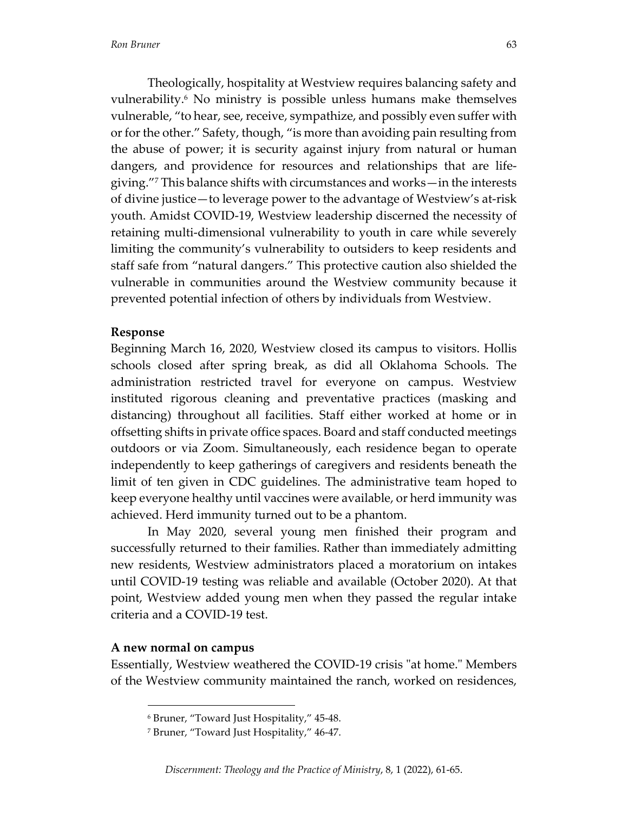Theologically, hospitality at Westview requires balancing safety and vulnerability.6 No ministry is possible unless humans make themselves vulnerable, "to hear, see, receive, sympathize, and possibly even suffer with or for the other." Safety, though, "is more than avoiding pain resulting from the abuse of power; it is security against injury from natural or human dangers, and providence for resources and relationships that are life‐ giving."7 This balance shifts with circumstances and works—in the interests of divine justice—to leverage power to the advantage of Westview's at‐risk youth. Amidst COVID‐19, Westview leadership discerned the necessity of retaining multi-dimensional vulnerability to youth in care while severely limiting the community's vulnerability to outsiders to keep residents and staff safe from "natural dangers." This protective caution also shielded the vulnerable in communities around the Westview community because it prevented potential infection of others by individuals from Westview.

#### **Response**

Beginning March 16, 2020, Westview closed its campus to visitors. Hollis schools closed after spring break, as did all Oklahoma Schools. The administration restricted travel for everyone on campus. Westview instituted rigorous cleaning and preventative practices (masking and distancing) throughout all facilities. Staff either worked at home or in offsetting shifts in private office spaces. Board and staff conducted meetings outdoors or via Zoom. Simultaneously, each residence began to operate independently to keep gatherings of caregivers and residents beneath the limit of ten given in CDC guidelines. The administrative team hoped to keep everyone healthy until vaccines were available, or herd immunity was achieved. Herd immunity turned out to be a phantom.

In May 2020, several young men finished their program and successfully returned to their families. Rather than immediately admitting new residents, Westview administrators placed a moratorium on intakes until COVID‐19 testing was reliable and available (October 2020). At that point, Westview added young men when they passed the regular intake criteria and a COVID‐19 test.

#### **A new normal on campus**

Essentially, Westview weathered the COVID-19 crisis "at home." Members of the Westview community maintained the ranch, worked on residences,

<sup>6</sup> Bruner, "Toward Just Hospitality," 45‐48.

<sup>7</sup> Bruner, "Toward Just Hospitality," 46‐47.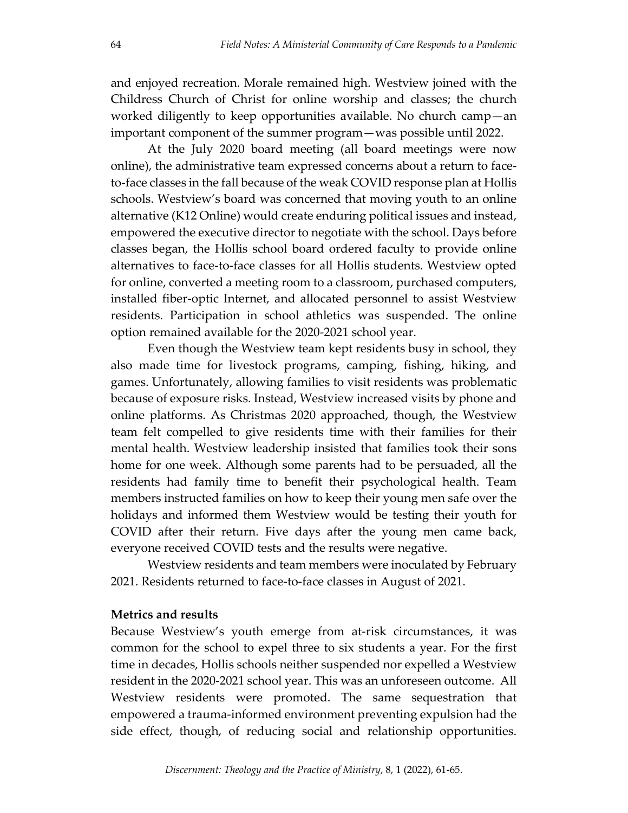and enjoyed recreation. Morale remained high. Westview joined with the Childress Church of Christ for online worship and classes; the church worked diligently to keep opportunities available. No church camp—an important component of the summer program—was possible until 2022.

At the July 2020 board meeting (all board meetings were now online), the administrative team expressed concerns about a return to face‐ to‐face classes in the fall because of the weak COVID response plan at Hollis schools. Westview's board was concerned that moving youth to an online alternative (K12 Online) would create enduring political issues and instead, empowered the executive director to negotiate with the school. Days before classes began, the Hollis school board ordered faculty to provide online alternatives to face‐to‐face classes for all Hollis students. Westview opted for online, converted a meeting room to a classroom, purchased computers, installed fiber‐optic Internet, and allocated personnel to assist Westview residents. Participation in school athletics was suspended. The online option remained available for the 2020‐2021 school year.

Even though the Westview team kept residents busy in school, they also made time for livestock programs, camping, fishing, hiking, and games. Unfortunately, allowing families to visit residents was problematic because of exposure risks. Instead, Westview increased visits by phone and online platforms. As Christmas 2020 approached, though, the Westview team felt compelled to give residents time with their families for their mental health. Westview leadership insisted that families took their sons home for one week. Although some parents had to be persuaded, all the residents had family time to benefit their psychological health. Team members instructed families on how to keep their young men safe over the holidays and informed them Westview would be testing their youth for COVID after their return. Five days after the young men came back, everyone received COVID tests and the results were negative.

Westview residents and team members were inoculated by February 2021. Residents returned to face‐to‐face classes in August of 2021.

#### **Metrics and results**

Because Westview's youth emerge from at‐risk circumstances, it was common for the school to expel three to six students a year. For the first time in decades, Hollis schools neither suspended nor expelled a Westview resident in the 2020‐2021 school year. This was an unforeseen outcome. All Westview residents were promoted. The same sequestration that empowered a trauma‐informed environment preventing expulsion had the side effect, though, of reducing social and relationship opportunities.